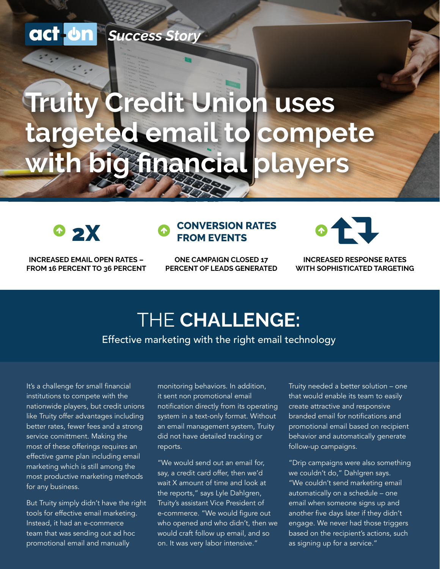### *Success Story*

# **Truity Credit Union uses targeted email to compete with big financial players**



**INCREASED EMAIL OPEN RATES – FROM 16 PERCENT TO 36 PERCENT**

#### **2 2X CONVERSION RATES FROM EVENTS**

**ONE CAMPAIGN CLOSED 17 PERCENT OF LEADS GENERATED**



**INCREASED RESPONSE RATES WITH SOPHISTICATED TARGETING**

### THE **CHALLENGE:**

Effective marketing with the right email technology

It's a challenge for small financial institutions to compete with the nationwide players, but credit unions like Truity offer advantages including better rates, fewer fees and a strong service comittment. Making the most of these offerings requires an effective game plan including email marketing which is still among the most productive marketing methods for any business.

But Truity simply didn't have the right tools for effective email marketing. Instead, it had an e-commerce team that was sending out ad hoc promotional email and manually

monitoring behaviors. In addition, it sent non promotional email notification directly from its operating system in a text-only format. Without an email management system, Truity did not have detailed tracking or reports.

"We would send out an email for, say, a credit card offer, then we'd wait X amount of time and look at the reports," says Lyle Dahlgren, Truity's assistant Vice President of e-commerce. "We would figure out who opened and who didn't, then we would craft follow up email, and so on. It was very labor intensive."

Truity needed a better solution – one that would enable its team to easily create attractive and responsive branded email for notifications and promotional email based on recipient behavior and automatically generate follow-up campaigns.

"Drip campaigns were also something we couldn't do," Dahlgren says. "We couldn't send marketing email automatically on a schedule – one email when someone signs up and another five days later if they didn't engage. We never had those triggers based on the recipient's actions, such as signing up for a service."